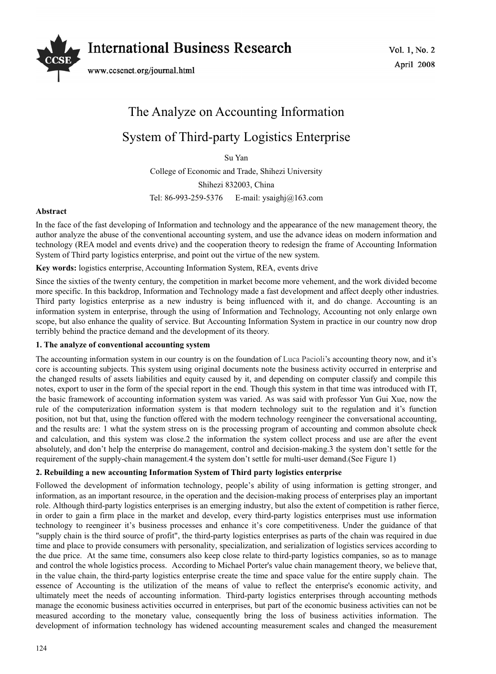

# The Analyze on Accounting Information System of Third-party Logistics Enterprise

Su Yan

College of Economic and Trade, Shihezi University Shihezi 832003, China Tel: 86-993-259-5376 E-mail: ysaighj@163.com

### **Abstract**

In the face of the fast developing of Information and technology and the appearance of the new management theory, the author analyze the abuse of the conventional accounting system, and use the advance ideas on modern information and technology (REA model and events drive) and the cooperation theory to redesign the frame of Accounting Information System of Third party logistics enterprise, and point out the virtue of the new system.

**Key words:** logistics enterprise, Accounting Information System, REA, events drive

Since the sixties of the twenty century, the competition in market become more vehement, and the work divided become more specific. In this backdrop, Information and Technology made a fast development and affect deeply other industries. Third party logistics enterprise as a new industry is being influenced with it, and do change. Accounting is an information system in enterprise, through the using of Information and Technology, Accounting not only enlarge own scope, but also enhance the quality of service. But Accounting Information System in practice in our country now drop terribly behind the practice demand and the development of its theory.

#### **1. The analyze of conventional accounting system**

The accounting information system in our country is on the foundation of Luca Pacioli's accounting theory now, and it's core is accounting subjects. This system using original documents note the business activity occurred in enterprise and the changed results of assets liabilities and equity caused by it, and depending on computer classify and compile this notes, export to user in the form of the special report in the end. Though this system in that time was introduced with IT, the basic framework of accounting information system was varied. As was said with professor Yun Gui Xue, now the rule of the computerization information system is that modern technology suit to the regulation and it's function position, not but that, using the function offered with the modern technology reengineer the conversational accounting, and the results are: 1 what the system stress on is the processing program of accounting and common absolute check and calculation, and this system was close.2 the information the system collect process and use are after the event absolutely, and don't help the enterprise do management, control and decision-making.3 the system don't settle for the requirement of the supply-chain management.4 the system don't settle for multi-user demand.(See Figure 1)

#### **2. Rebuilding a new accounting Information System of Third party logistics enterprise**

Followed the development of information technology, people's ability of using information is getting stronger, and information, as an important resource, in the operation and the decision-making process of enterprises play an important role. Although third-party logistics enterprises is an emerging industry, but also the extent of competition is rather fierce, in order to gain a firm place in the market and develop, every third-party logistics enterprises must use information technology to reengineer it's business processes and enhance it's core competitiveness. Under the guidance of that "supply chain is the third source of profit", the third-party logistics enterprises as parts of the chain was required in due time and place to provide consumers with personality, specialization, and serialization of logistics services according to the due price. At the same time, consumers also keep close relate to third-party logistics companies, so as to manage and control the whole logistics process. According to Michael Porter's value chain management theory, we believe that, in the value chain, the third-party logistics enterprise create the time and space value for the entire supply chain. The essence of Accounting is the utilization of the means of value to reflect the enterprise's economic activity, and ultimately meet the needs of accounting information. Third-party logistics enterprises through accounting methods manage the economic business activities occurred in enterprises, but part of the economic business activities can not be measured according to the monetary value, consequently bring the loss of business activities information. The development of information technology has widened accounting measurement scales and changed the measurement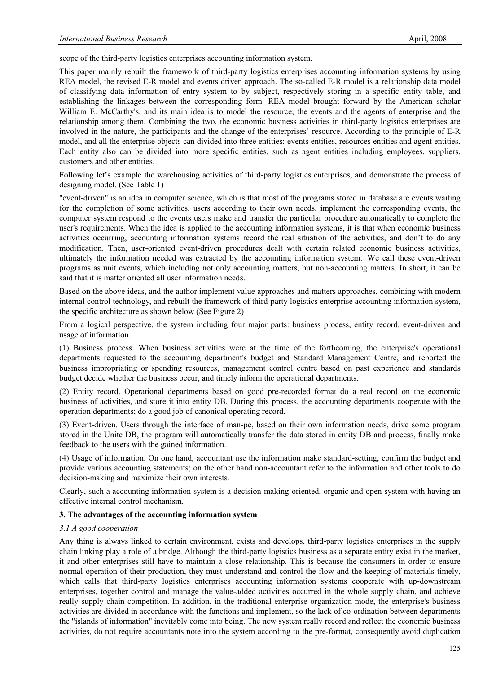scope of the third-party logistics enterprises accounting information system.

This paper mainly rebuilt the framework of third-party logistics enterprises accounting information systems by using REA model, the revised E-R model and events driven approach. The so-called E-R model is a relationship data model of classifying data information of entry system to by subject, respectively storing in a specific entity table, and establishing the linkages between the corresponding form. REA model brought forward by the American scholar William E. McCarthy's, and its main idea is to model the resource, the events and the agents of enterprise and the relationship among them. Combining the two, the economic business activities in third-party logistics enterprises are involved in the nature, the participants and the change of the enterprises' resource. According to the principle of E-R model, and all the enterprise objects can divided into three entities: events entities, resources entities and agent entities. Each entity also can be divided into more specific entities, such as agent entities including employees, suppliers, customers and other entities.

Following let's example the warehousing activities of third-party logistics enterprises, and demonstrate the process of designing model. (See Table 1)

"event-driven" is an idea in computer science, which is that most of the programs stored in database are events waiting for the completion of some activities, users according to their own needs, implement the corresponding events, the computer system respond to the events users make and transfer the particular procedure automatically to complete the user's requirements. When the idea is applied to the accounting information systems, it is that when economic business activities occurring, accounting information systems record the real situation of the activities, and don't to do any modification. Then, user-oriented event-driven procedures dealt with certain related economic business activities, ultimately the information needed was extracted by the accounting information system. We call these event-driven programs as unit events, which including not only accounting matters, but non-accounting matters. In short, it can be said that it is matter oriented all user information needs.

Based on the above ideas, and the author implement value approaches and matters approaches, combining with modern internal control technology, and rebuilt the framework of third-party logistics enterprise accounting information system, the specific architecture as shown below (See Figure 2)

From a logical perspective, the system including four major parts: business process, entity record, event-driven and usage of information.

(1) Business process. When business activities were at the time of the forthcoming, the enterprise's operational departments requested to the accounting department's budget and Standard Management Centre, and reported the business impropriating or spending resources, management control centre based on past experience and standards budget decide whether the business occur, and timely inform the operational departments.

(2) Entity record. Operational departments based on good pre-recorded format do a real record on the economic business of activities, and store it into entity DB. During this process, the accounting departments cooperate with the operation departments; do a good job of canonical operating record.

(3) Event-driven. Users through the interface of man-pc, based on their own information needs, drive some program stored in the Unite DB, the program will automatically transfer the data stored in entity DB and process, finally make feedback to the users with the gained information.

(4) Usage of information. On one hand, accountant use the information make standard-setting, confirm the budget and provide various accounting statements; on the other hand non-accountant refer to the information and other tools to do decision-making and maximize their own interests.

Clearly, such a accounting information system is a decision-making-oriented, organic and open system with having an effective internal control mechanism.

#### **3. The advantages of the accounting information system**

#### *3.1 A good cooperation*

Any thing is always linked to certain environment, exists and develops, third-party logistics enterprises in the supply chain linking play a role of a bridge. Although the third-party logistics business as a separate entity exist in the market, it and other enterprises still have to maintain a close relationship. This is because the consumers in order to ensure normal operation of their production, they must understand and control the flow and the keeping of materials timely, which calls that third-party logistics enterprises accounting information systems cooperate with up-downstream enterprises, together control and manage the value-added activities occurred in the whole supply chain, and achieve really supply chain competition. In addition, in the traditional enterprise organization mode, the enterprise's business activities are divided in accordance with the functions and implement, so the lack of co-ordination between departments the "islands of information" inevitably come into being. The new system really record and reflect the economic business activities, do not require accountants note into the system according to the pre-format, consequently avoid duplication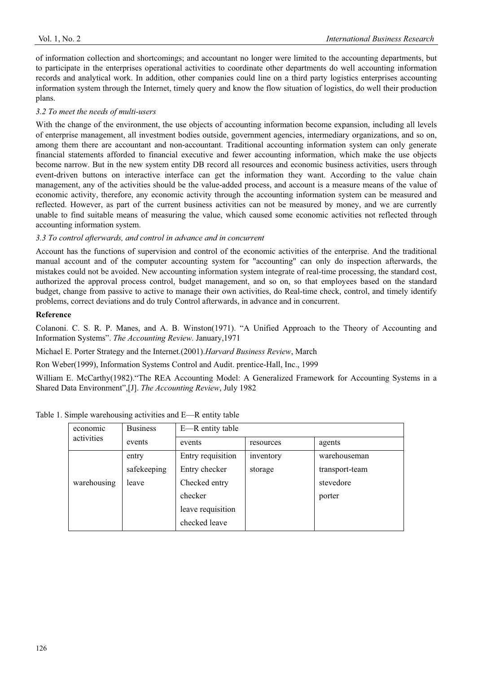of information collection and shortcomings; and accountant no longer were limited to the accounting departments, but to participate in the enterprises operational activities to coordinate other departments do well accounting information records and analytical work. In addition, other companies could line on a third party logistics enterprises accounting information system through the Internet, timely query and know the flow situation of logistics, do well their production plans.

# *3.2 To meet the needs of multi-users*

With the change of the environment, the use objects of accounting information become expansion, including all levels of enterprise management, all investment bodies outside, government agencies, intermediary organizations, and so on, among them there are accountant and non-accountant. Traditional accounting information system can only generate financial statements afforded to financial executive and fewer accounting information, which make the use objects become narrow. But in the new system entity DB record all resources and economic business activities, users through event-driven buttons on interactive interface can get the information they want. According to the value chain management, any of the activities should be the value-added process, and account is a measure means of the value of economic activity, therefore, any economic activity through the accounting information system can be measured and reflected. However, as part of the current business activities can not be measured by money, and we are currently unable to find suitable means of measuring the value, which caused some economic activities not reflected through accounting information system.

# *3.3 To control afterwards, and control in advance and in concurrent*

Account has the functions of supervision and control of the economic activities of the enterprise. And the traditional manual account and of the computer accounting system for "accounting" can only do inspection afterwards, the mistakes could not be avoided. New accounting information system integrate of real-time processing, the standard cost, authorized the approval process control, budget management, and so on, so that employees based on the standard budget, change from passive to active to manage their own activities, do Real-time check, control, and timely identify problems, correct deviations and do truly Control afterwards, in advance and in concurrent.

# **Reference**

Colanoni. C. S. R. P. Manes, and A. B. Winston(1971). "A Unified Approach to the Theory of Accounting and Information Systems". *The Accounting Review*. January,1971

Michael E. Porter Strategy and the Internet.(2001).*Harvard Business Review*, March

Ron Weber(1999), Information Systems Control and Audit. prentice-Hall, Inc., 1999

William E. McCarthy(1982)."The REA Accounting Model: A Generalized Framework for Accounting Systems in a Shared Data Environment",[J]. *The Accounting Review*, July 1982

| economic<br>activities | <b>Business</b> | E—R entity table  |           |                |
|------------------------|-----------------|-------------------|-----------|----------------|
|                        | events          | events            | resources | agents         |
|                        | entry           | Entry requisition | inventory | warehouseman   |
|                        | safekeeping     | Entry checker     | storage   | transport-team |
| warehousing            | leave           | Checked entry     |           | stevedore      |
|                        |                 | checker           |           | porter         |
|                        |                 | leave requisition |           |                |
|                        |                 | checked leave     |           |                |

Table 1. Simple warehousing activities and E—R entity table